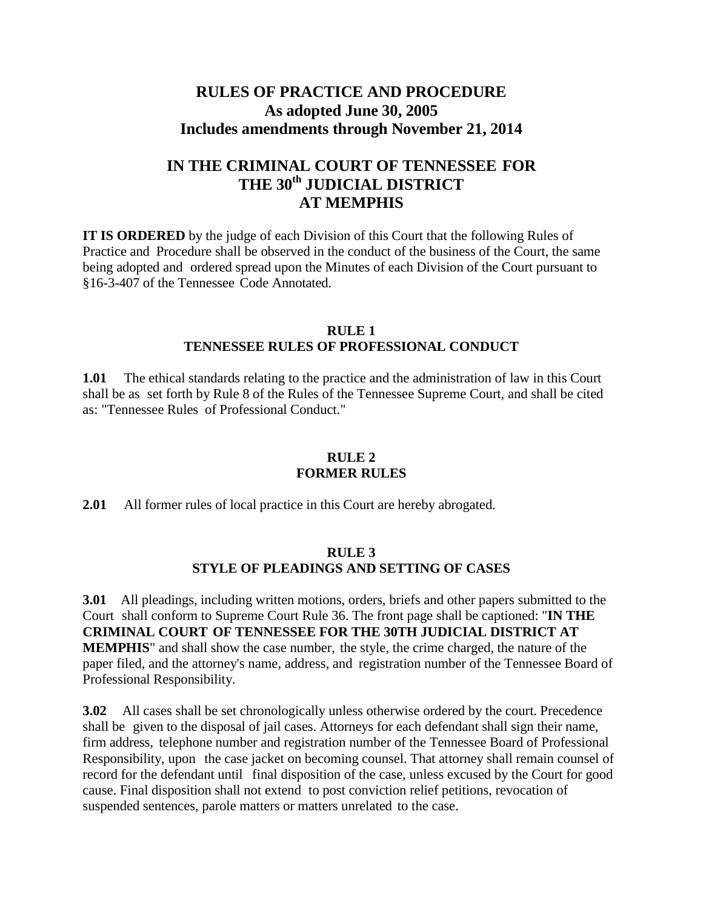# **RULES OF PRACTICE AND PROCEDURE As adopted June 30, 2005 Includes amendments through November 21, 2014**

# **IN THE CRIMINAL COURT OF TENNESSEE FOR THE 30th JUDICIAL DISTRICT AT MEMPHIS**

**IT IS ORDERED** by the judge of each Division of this Court that the following Rules of Practice and Procedure shall be observed in the conduct of the business of the Court, the same being adopted and ordered spread upon the Minutes of each Division of the Court pursuant to §16-3-407 of the Tennessee Code Annotated.

#### **RULE 1 TENNESSEE RULES OF PROFESSIONAL CONDUCT**

**1.01** The ethical standards relating to the practice and the administration of law in this Court shall be as set forth by Rule 8 of the Rules of the Tennessee Supreme Court, and shall be cited as: "Tennessee Rules of Professional Conduct."

## **RULE 2 FORMER RULES**

**2.01** All former rules of local practice in this Court are hereby abrogated.

### **RULE 3 STYLE OF PLEADINGS AND SETTING OF CASES**

**3.01** All pleadings, including written motions, orders, briefs and other papers submitted to the Court shall conform to Supreme Court Rule 36. The front page shall be captioned: "**IN THE CRIMINAL COURT OF TENNESSEE FOR THE 30TH JUDICIAL DISTRICT AT MEMPHIS**" and shall show the case number, the style, the crime charged, the nature of the paper filed, and the attorney's name, address, and registration number of the Tennessee Board of Professional Responsibility.

**3.02** All cases shall be set chronologically unless otherwise ordered by the court. Precedence shall be given to the disposal of jail cases. Attorneys for each defendant shall sign their name, firm address, telephone number and registration number of the Tennessee Board of Professional Responsibility, upon the case jacket on becoming counsel. That attorney shall remain counsel of record for the defendant until final disposition of the case, unless excused by the Court for good cause. Final disposition shall not extend to post conviction relief petitions, revocation of suspended sentences, parole matters or matters unrelated to the case.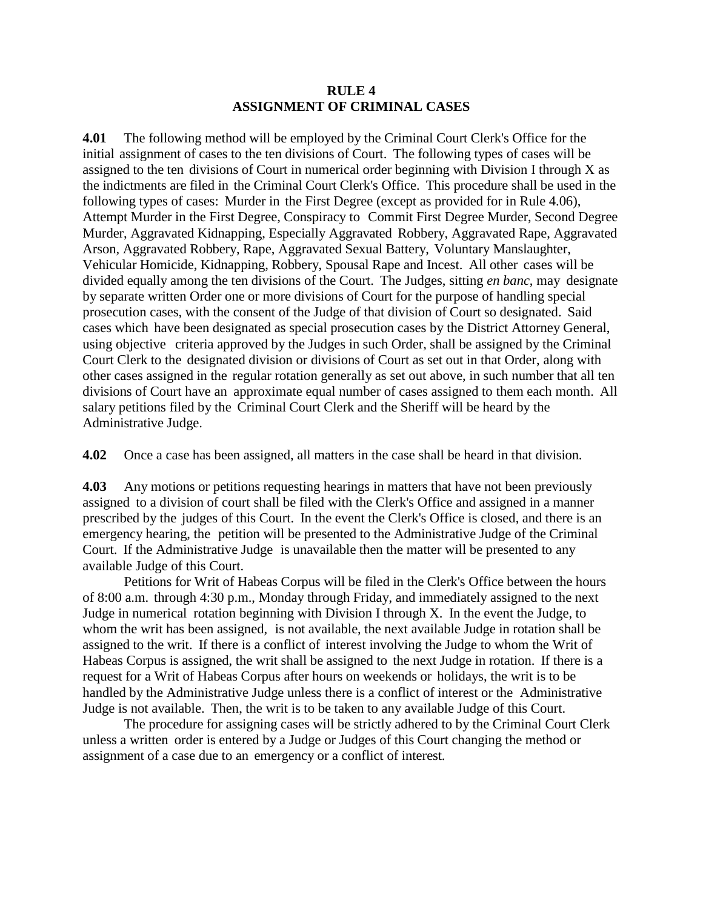#### **RULE 4 ASSIGNMENT OF CRIMINAL CASES**

**4.01** The following method will be employed by the Criminal Court Clerk's Office for the initial assignment of cases to the ten divisions of Court. The following types of cases will be assigned to the ten divisions of Court in numerical order beginning with Division I through X as the indictments are filed in the Criminal Court Clerk's Office. This procedure shall be used in the following types of cases: Murder in the First Degree (except as provided for in Rule 4.06), Attempt Murder in the First Degree, Conspiracy to Commit First Degree Murder, Second Degree Murder, Aggravated Kidnapping, Especially Aggravated Robbery, Aggravated Rape, Aggravated Arson, Aggravated Robbery, Rape, Aggravated Sexual Battery, Voluntary Manslaughter, Vehicular Homicide, Kidnapping, Robbery, Spousal Rape and Incest. All other cases will be divided equally among the ten divisions of the Court. The Judges, sitting *en banc*, may designate by separate written Order one or more divisions of Court for the purpose of handling special prosecution cases, with the consent of the Judge of that division of Court so designated. Said cases which have been designated as special prosecution cases by the District Attorney General, using objective criteria approved by the Judges in such Order, shall be assigned by the Criminal Court Clerk to the designated division or divisions of Court as set out in that Order, along with other cases assigned in the regular rotation generally as set out above, in such number that all ten divisions of Court have an approximate equal number of cases assigned to them each month. All salary petitions filed by the Criminal Court Clerk and the Sheriff will be heard by the Administrative Judge.

**4.02** Once a case has been assigned, all matters in the case shall be heard in that division.

**4.03** Any motions or petitions requesting hearings in matters that have not been previously assigned to a division of court shall be filed with the Clerk's Office and assigned in a manner prescribed by the judges of this Court. In the event the Clerk's Office is closed, and there is an emergency hearing, the petition will be presented to the Administrative Judge of the Criminal Court. If the Administrative Judge is unavailable then the matter will be presented to any available Judge of this Court.

Petitions for Writ of Habeas Corpus will be filed in the Clerk's Office between the hours of 8:00 a.m. through 4:30 p.m., Monday through Friday, and immediately assigned to the next Judge in numerical rotation beginning with Division I through X. In the event the Judge, to whom the writ has been assigned, is not available, the next available Judge in rotation shall be assigned to the writ. If there is a conflict of interest involving the Judge to whom the Writ of Habeas Corpus is assigned, the writ shall be assigned to the next Judge in rotation. If there is a request for a Writ of Habeas Corpus after hours on weekends or holidays, the writ is to be handled by the Administrative Judge unless there is a conflict of interest or the Administrative Judge is not available. Then, the writ is to be taken to any available Judge of this Court.

The procedure for assigning cases will be strictly adhered to by the Criminal Court Clerk unless a written order is entered by a Judge or Judges of this Court changing the method or assignment of a case due to an emergency or a conflict of interest.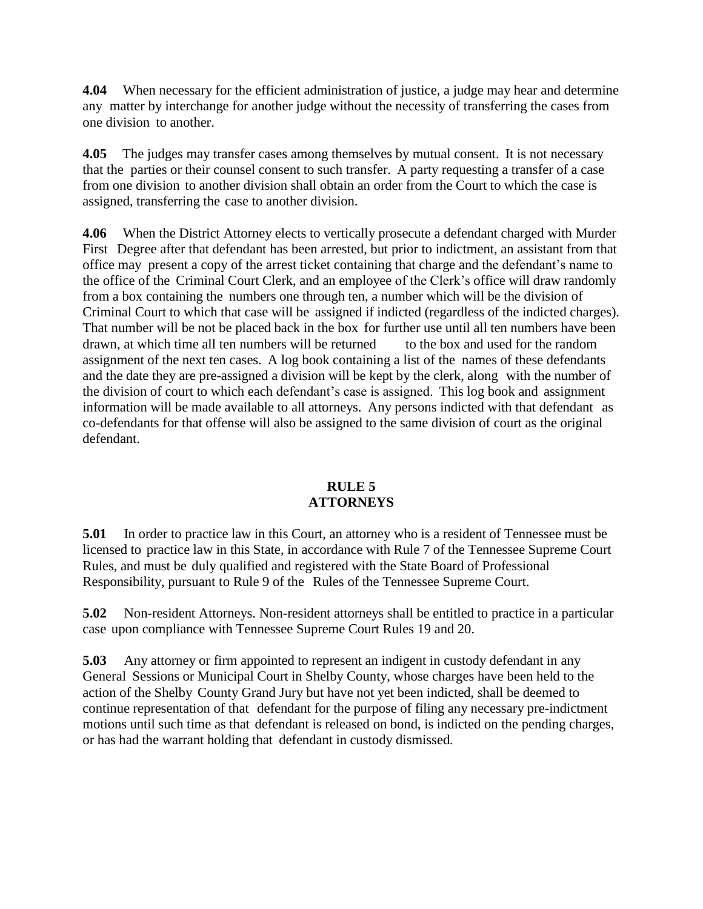**4.04** When necessary for the efficient administration of justice, a judge may hear and determine any matter by interchange for another judge without the necessity of transferring the cases from one division to another.

**4.05** The judges may transfer cases among themselves by mutual consent. It is not necessary that the parties or their counsel consent to such transfer. A party requesting a transfer of a case from one division to another division shall obtain an order from the Court to which the case is assigned, transferring the case to another division.

**4.06** When the District Attorney elects to vertically prosecute a defendant charged with Murder First Degree after that defendant has been arrested, but prior to indictment, an assistant from that office may present a copy of the arrest ticket containing that charge and the defendant's name to the office of the Criminal Court Clerk, and an employee of the Clerk's office will draw randomly from a box containing the numbers one through ten, a number which will be the division of Criminal Court to which that case will be assigned if indicted (regardless of the indicted charges). That number will be not be placed back in the box for further use until all ten numbers have been drawn, at which time all ten numbers will be returned to the box and used for the random assignment of the next ten cases. A log book containing a list of the names of these defendants and the date they are pre-assigned a division will be kept by the clerk, along with the number of the division of court to which each defendant's case is assigned. This log book and assignment information will be made available to all attorneys. Any persons indicted with that defendant as co-defendants for that offense will also be assigned to the same division of court as the original defendant.

### **RULE 5 ATTORNEYS**

**5.01** In order to practice law in this Court, an attorney who is a resident of Tennessee must be licensed to practice law in this State, in accordance with Rule 7 of the Tennessee Supreme Court Rules, and must be duly qualified and registered with the State Board of Professional Responsibility, pursuant to Rule 9 of the Rules of the Tennessee Supreme Court.

**5.02** Non-resident Attorneys. Non-resident attorneys shall be entitled to practice in a particular case upon compliance with Tennessee Supreme Court Rules 19 and 20.

**5.03** Any attorney or firm appointed to represent an indigent in custody defendant in any General Sessions or Municipal Court in Shelby County, whose charges have been held to the action of the Shelby County Grand Jury but have not yet been indicted, shall be deemed to continue representation of that defendant for the purpose of filing any necessary pre-indictment motions until such time as that defendant is released on bond, is indicted on the pending charges, or has had the warrant holding that defendant in custody dismissed.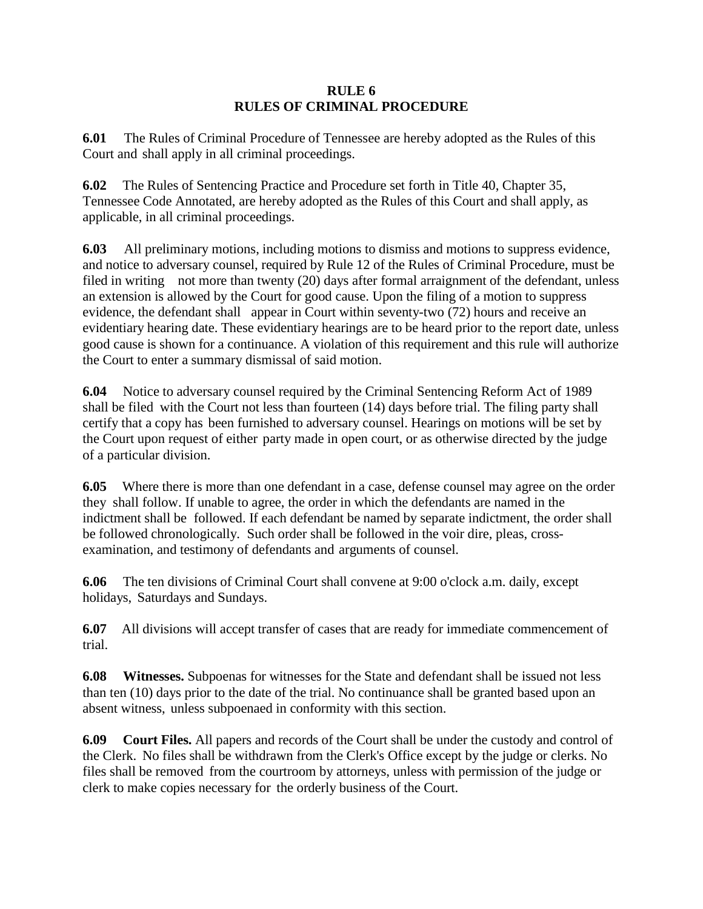#### **RULE 6 RULES OF CRIMINAL PROCEDURE**

**6.01** The Rules of Criminal Procedure of Tennessee are hereby adopted as the Rules of this Court and shall apply in all criminal proceedings.

**6.02** The Rules of Sentencing Practice and Procedure set forth in Title 40, Chapter 35, Tennessee Code Annotated, are hereby adopted as the Rules of this Court and shall apply, as applicable, in all criminal proceedings.

**6.03** All preliminary motions, including motions to dismiss and motions to suppress evidence, and notice to adversary counsel, required by Rule 12 of the Rules of Criminal Procedure, must be filed in writing not more than twenty (20) days after formal arraignment of the defendant, unless an extension is allowed by the Court for good cause. Upon the filing of a motion to suppress evidence, the defendant shall appear in Court within seventy-two (72) hours and receive an evidentiary hearing date. These evidentiary hearings are to be heard prior to the report date, unless good cause is shown for a continuance. A violation of this requirement and this rule will authorize the Court to enter a summary dismissal of said motion.

**6.04** Notice to adversary counsel required by the Criminal Sentencing Reform Act of 1989 shall be filed with the Court not less than fourteen (14) days before trial. The filing party shall certify that a copy has been furnished to adversary counsel. Hearings on motions will be set by the Court upon request of either party made in open court, or as otherwise directed by the judge of a particular division.

**6.05** Where there is more than one defendant in a case, defense counsel may agree on the order they shall follow. If unable to agree, the order in which the defendants are named in the indictment shall be followed. If each defendant be named by separate indictment, the order shall be followed chronologically. Such order shall be followed in the voir dire, pleas, crossexamination, and testimony of defendants and arguments of counsel.

**6.06** The ten divisions of Criminal Court shall convene at 9:00 o'clock a.m. daily, except holidays, Saturdays and Sundays.

**6.07** All divisions will accept transfer of cases that are ready for immediate commencement of trial.

**6.08 Witnesses.** Subpoenas for witnesses for the State and defendant shall be issued not less than ten (10) days prior to the date of the trial. No continuance shall be granted based upon an absent witness, unless subpoenaed in conformity with this section.

**6.09 Court Files.** All papers and records of the Court shall be under the custody and control of the Clerk. No files shall be withdrawn from the Clerk's Office except by the judge or clerks. No files shall be removed from the courtroom by attorneys, unless with permission of the judge or clerk to make copies necessary for the orderly business of the Court.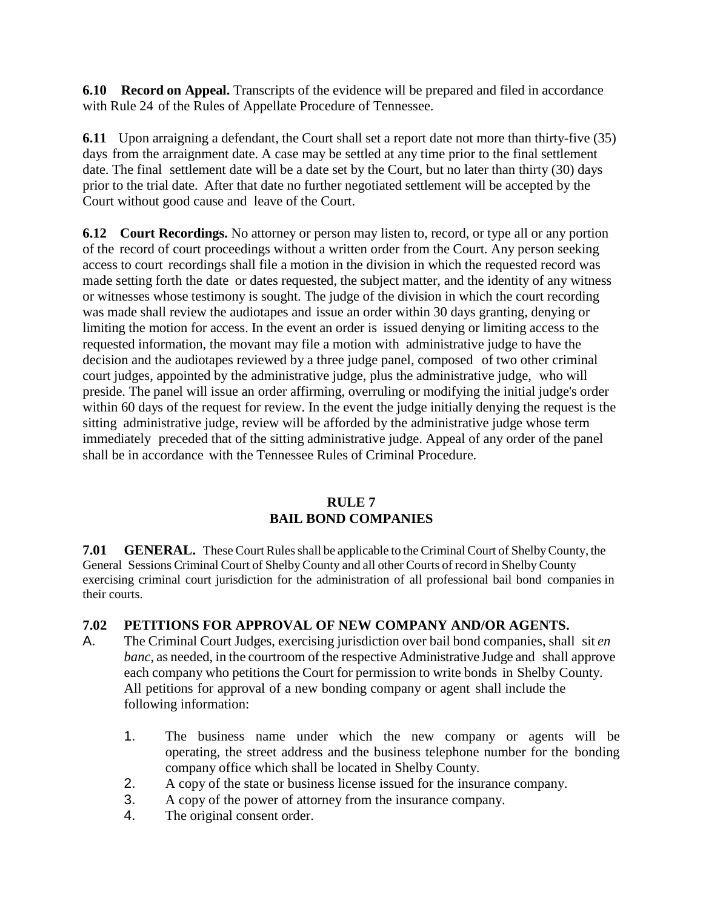**6.10 Record on Appeal.** Transcripts of the evidence will be prepared and filed in accordance with Rule 24 of the Rules of Appellate Procedure of Tennessee.

**6.11** Upon arraigning a defendant, the Court shall set a report date not more than thirty-five (35) days from the arraignment date. A case may be settled at any time prior to the final settlement date. The final settlement date will be a date set by the Court, but no later than thirty (30) days prior to the trial date. After that date no further negotiated settlement will be accepted by the Court without good cause and leave of the Court.

**6.12 Court Recordings.** No attorney or person may listen to, record, or type all or any portion of the record of court proceedings without a written order from the Court. Any person seeking access to court recordings shall file a motion in the division in which the requested record was made setting forth the date or dates requested, the subject matter, and the identity of any witness or witnesses whose testimony is sought. The judge of the division in which the court recording was made shall review the audiotapes and issue an order within 30 days granting, denying or limiting the motion for access. In the event an order is issued denying or limiting access to the requested information, the movant may file a motion with administrative judge to have the decision and the audiotapes reviewed by a three judge panel, composed of two other criminal court judges, appointed by the administrative judge, plus the administrative judge, who will preside. The panel will issue an order affirming, overruling or modifying the initial judge's order within 60 days of the request for review. In the event the judge initially denying the request is the sitting administrative judge, review will be afforded by the administrative judge whose term immediately preceded that of the sitting administrative judge. Appeal of any order of the panel shall be in accordance with the Tennessee Rules of Criminal Procedure.

## **RULE 7 BAIL BOND COMPANIES**

**7.01 <b>GENERAL.** These Court Rules shall be applicable to the Criminal Court of Shelby County, the General Sessions Criminal Court of Shelby County and all other Courts of record in Shelby County exercising criminal court jurisdiction for the administration of all professional bail bond companies in their courts.

# **7.02 PETITIONS FOR APPROVAL OF NEW COMPANY AND/OR AGENTS.**

- A. The Criminal Court Judges, exercising jurisdiction over bail bond companies, shall sit *en banc*, as needed, in the courtroom of the respective Administrative Judge and shall approve each company who petitions the Court for permission to write bonds in Shelby County. All petitions for approval of a new bonding company or agent shall include the following information:
	- 1. The business name under which the new company or agents will be operating, the street address and the business telephone number for the bonding company office which shall be located in Shelby County.
	- 2. A copy of the state or business license issued for the insurance company.
	- 3. A copy of the power of attorney from the insurance company.
	- 4. The original consent order.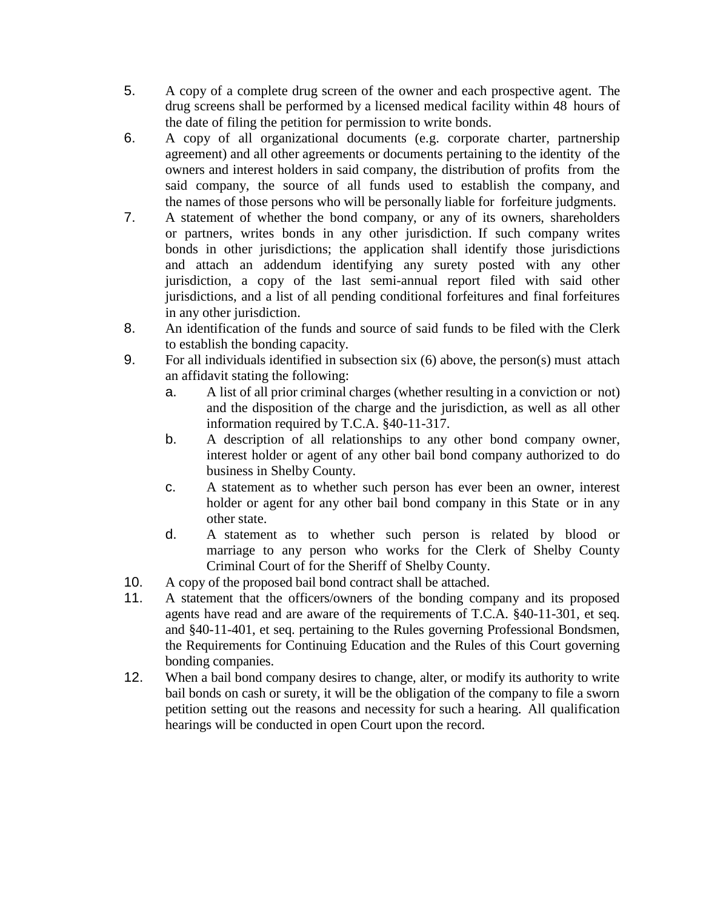- 5. A copy of a complete drug screen of the owner and each prospective agent. The drug screens shall be performed by a licensed medical facility within 48 hours of the date of filing the petition for permission to write bonds.
- 6. A copy of all organizational documents (e.g. corporate charter, partnership agreement) and all other agreements or documents pertaining to the identity of the owners and interest holders in said company, the distribution of profits from the said company, the source of all funds used to establish the company, and the names of those persons who will be personally liable for forfeiture judgments.
- 7. A statement of whether the bond company, or any of its owners, shareholders or partners, writes bonds in any other jurisdiction. If such company writes bonds in other jurisdictions; the application shall identify those jurisdictions and attach an addendum identifying any surety posted with any other jurisdiction, a copy of the last semi-annual report filed with said other jurisdictions, and a list of all pending conditional forfeitures and final forfeitures in any other jurisdiction.
- 8. An identification of the funds and source of said funds to be filed with the Clerk to establish the bonding capacity.
- 9. For all individuals identified in subsection six (6) above, the person(s) must attach an affidavit stating the following:
	- a. A list of all prior criminal charges (whether resulting in a conviction or not) and the disposition of the charge and the jurisdiction, as well as all other information required by T.C.A. §40-11-317.
	- b. A description of all relationships to any other bond company owner, interest holder or agent of any other bail bond company authorized to do business in Shelby County.
	- c. A statement as to whether such person has ever been an owner, interest holder or agent for any other bail bond company in this State or in any other state.
	- d. A statement as to whether such person is related by blood or marriage to any person who works for the Clerk of Shelby County Criminal Court of for the Sheriff of Shelby County.
- 10. A copy of the proposed bail bond contract shall be attached.
- 11. A statement that the officers/owners of the bonding company and its proposed agents have read and are aware of the requirements of T.C.A. §40-11-301, et seq. and §40-11-401, et seq. pertaining to the Rules governing Professional Bondsmen, the Requirements for Continuing Education and the Rules of this Court governing bonding companies.
- 12. When a bail bond company desires to change, alter, or modify its authority to write bail bonds on cash or surety, it will be the obligation of the company to file a sworn petition setting out the reasons and necessity for such a hearing. All qualification hearings will be conducted in open Court upon the record.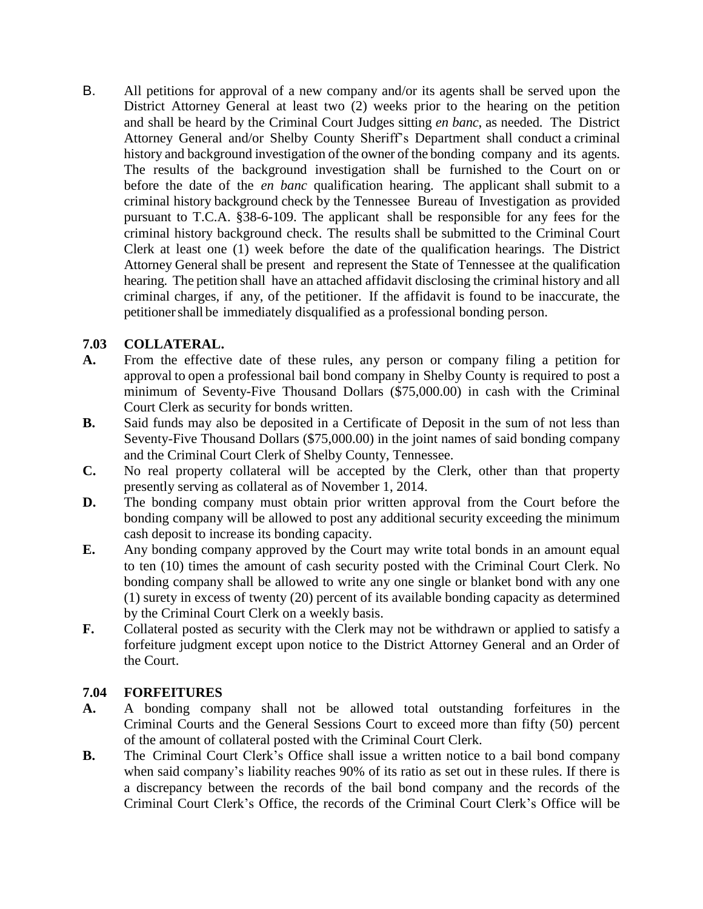B. All petitions for approval of a new company and/or its agents shall be served upon the District Attorney General at least two (2) weeks prior to the hearing on the petition and shall be heard by the Criminal Court Judges sitting *en banc*, as needed. The District Attorney General and/or Shelby County Sheriff's Department shall conduct a criminal history and background investigation of the owner of the bonding company and its agents. The results of the background investigation shall be furnished to the Court on or before the date of the *en banc* qualification hearing. The applicant shall submit to a criminal history background check by the Tennessee Bureau of Investigation as provided pursuant to T.C.A. §38-6-109. The applicant shall be responsible for any fees for the criminal history background check. The results shall be submitted to the Criminal Court Clerk at least one (1) week before the date of the qualification hearings. The District Attorney General shall be present and represent the State of Tennessee at the qualification hearing. The petition shall have an attached affidavit disclosing the criminal history and all criminal charges, if any, of the petitioner. If the affidavit is found to be inaccurate, the petitionershall be immediately disqualified as a professional bonding person.

## **7.03 COLLATERAL.**

- **A.** From the effective date of these rules, any person or company filing a petition for approval to open a professional bail bond company in Shelby County is required to post a minimum of Seventy-Five Thousand Dollars (\$75,000.00) in cash with the Criminal Court Clerk as security for bonds written.
- **B.** Said funds may also be deposited in a Certificate of Deposit in the sum of not less than Seventy-Five Thousand Dollars (\$75,000.00) in the joint names of said bonding company and the Criminal Court Clerk of Shelby County, Tennessee.
- **C.** No real property collateral will be accepted by the Clerk, other than that property presently serving as collateral as of November 1, 2014.
- **D.** The bonding company must obtain prior written approval from the Court before the bonding company will be allowed to post any additional security exceeding the minimum cash deposit to increase its bonding capacity.
- **E.** Any bonding company approved by the Court may write total bonds in an amount equal to ten (10) times the amount of cash security posted with the Criminal Court Clerk. No bonding company shall be allowed to write any one single or blanket bond with any one (1) surety in excess of twenty (20) percent of its available bonding capacity as determined by the Criminal Court Clerk on a weekly basis.
- **F.** Collateral posted as security with the Clerk may not be withdrawn or applied to satisfy a forfeiture judgment except upon notice to the District Attorney General and an Order of the Court.

### **7.04 FORFEITURES**

- **A.** A bonding company shall not be allowed total outstanding forfeitures in the Criminal Courts and the General Sessions Court to exceed more than fifty (50) percent of the amount of collateral posted with the Criminal Court Clerk.
- **B.** The Criminal Court Clerk's Office shall issue a written notice to a bail bond company when said company's liability reaches 90% of its ratio as set out in these rules. If there is a discrepancy between the records of the bail bond company and the records of the Criminal Court Clerk's Office, the records of the Criminal Court Clerk's Office will be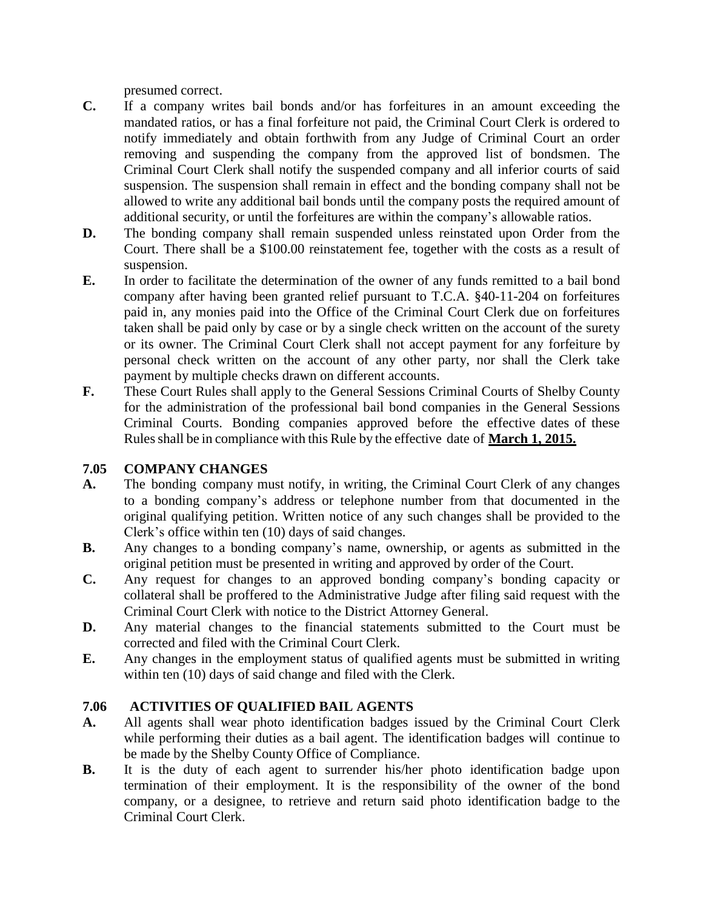presumed correct.

- **C.** If a company writes bail bonds and/or has forfeitures in an amount exceeding the mandated ratios, or has a final forfeiture not paid, the Criminal Court Clerk is ordered to notify immediately and obtain forthwith from any Judge of Criminal Court an order removing and suspending the company from the approved list of bondsmen. The Criminal Court Clerk shall notify the suspended company and all inferior courts of said suspension. The suspension shall remain in effect and the bonding company shall not be allowed to write any additional bail bonds until the company posts the required amount of additional security, or until the forfeitures are within the company's allowable ratios.
- **D.** The bonding company shall remain suspended unless reinstated upon Order from the Court. There shall be a \$100.00 reinstatement fee, together with the costs as a result of suspension.
- **E.** In order to facilitate the determination of the owner of any funds remitted to a bail bond company after having been granted relief pursuant to T.C.A. §40-11-204 on forfeitures paid in, any monies paid into the Office of the Criminal Court Clerk due on forfeitures taken shall be paid only by case or by a single check written on the account of the surety or its owner. The Criminal Court Clerk shall not accept payment for any forfeiture by personal check written on the account of any other party, nor shall the Clerk take payment by multiple checks drawn on different accounts.
- **F.** These Court Rules shall apply to the General Sessions Criminal Courts of Shelby County for the administration of the professional bail bond companies in the General Sessions Criminal Courts. Bonding companies approved before the effective dates of these Rulesshall be in compliance with this Rule by the effective date of **March 1, 2015.**

### **7.05 COMPANY CHANGES**

- **A.** The bonding company must notify, in writing, the Criminal Court Clerk of any changes to a bonding company's address or telephone number from that documented in the original qualifying petition. Written notice of any such changes shall be provided to the Clerk's office within ten (10) days of said changes.
- **B.** Any changes to a bonding company's name, ownership, or agents as submitted in the original petition must be presented in writing and approved by order of the Court.
- **C.** Any request for changes to an approved bonding company's bonding capacity or collateral shall be proffered to the Administrative Judge after filing said request with the Criminal Court Clerk with notice to the District Attorney General.
- **D.** Any material changes to the financial statements submitted to the Court must be corrected and filed with the Criminal Court Clerk.
- **E.** Any changes in the employment status of qualified agents must be submitted in writing within ten (10) days of said change and filed with the Clerk.

## **7.06 ACTIVITIES OF QUALIFIED BAIL AGENTS**

- **A.** All agents shall wear photo identification badges issued by the Criminal Court Clerk while performing their duties as a bail agent. The identification badges will continue to be made by the Shelby County Office of Compliance.
- **B.** It is the duty of each agent to surrender his/her photo identification badge upon termination of their employment. It is the responsibility of the owner of the bond company, or a designee, to retrieve and return said photo identification badge to the Criminal Court Clerk.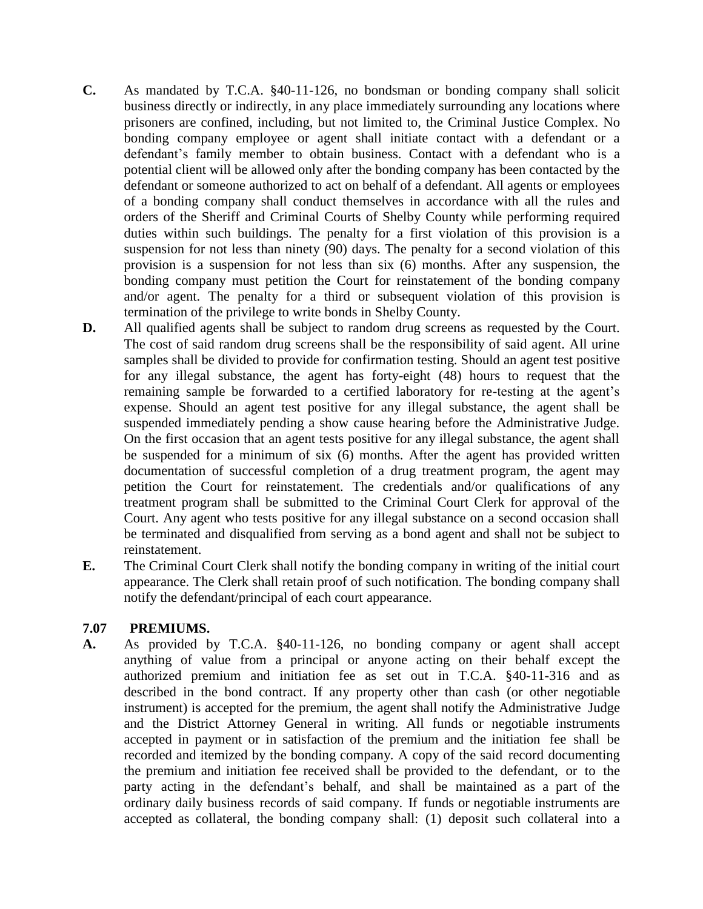- **C.** As mandated by T.C.A. §40-11-126, no bondsman or bonding company shall solicit business directly or indirectly, in any place immediately surrounding any locations where prisoners are confined, including, but not limited to, the Criminal Justice Complex. No bonding company employee or agent shall initiate contact with a defendant or a defendant's family member to obtain business. Contact with a defendant who is a potential client will be allowed only after the bonding company has been contacted by the defendant or someone authorized to act on behalf of a defendant. All agents or employees of a bonding company shall conduct themselves in accordance with all the rules and orders of the Sheriff and Criminal Courts of Shelby County while performing required duties within such buildings. The penalty for a first violation of this provision is a suspension for not less than ninety (90) days. The penalty for a second violation of this provision is a suspension for not less than six (6) months. After any suspension, the bonding company must petition the Court for reinstatement of the bonding company and/or agent. The penalty for a third or subsequent violation of this provision is termination of the privilege to write bonds in Shelby County.
- **D.** All qualified agents shall be subject to random drug screens as requested by the Court. The cost of said random drug screens shall be the responsibility of said agent. All urine samples shall be divided to provide for confirmation testing. Should an agent test positive for any illegal substance, the agent has forty-eight (48) hours to request that the remaining sample be forwarded to a certified laboratory for re-testing at the agent's expense. Should an agent test positive for any illegal substance, the agent shall be suspended immediately pending a show cause hearing before the Administrative Judge. On the first occasion that an agent tests positive for any illegal substance, the agent shall be suspended for a minimum of six (6) months. After the agent has provided written documentation of successful completion of a drug treatment program, the agent may petition the Court for reinstatement. The credentials and/or qualifications of any treatment program shall be submitted to the Criminal Court Clerk for approval of the Court. Any agent who tests positive for any illegal substance on a second occasion shall be terminated and disqualified from serving as a bond agent and shall not be subject to reinstatement.
- **E.** The Criminal Court Clerk shall notify the bonding company in writing of the initial court appearance. The Clerk shall retain proof of such notification. The bonding company shall notify the defendant/principal of each court appearance.

### **7.07 PREMIUMS.**

**A.** As provided by T.C.A. §40-11-126, no bonding company or agent shall accept anything of value from a principal or anyone acting on their behalf except the authorized premium and initiation fee as set out in T.C.A. §40-11-316 and as described in the bond contract. If any property other than cash (or other negotiable instrument) is accepted for the premium, the agent shall notify the Administrative Judge and the District Attorney General in writing. All funds or negotiable instruments accepted in payment or in satisfaction of the premium and the initiation fee shall be recorded and itemized by the bonding company. A copy of the said record documenting the premium and initiation fee received shall be provided to the defendant, or to the party acting in the defendant's behalf, and shall be maintained as a part of the ordinary daily business records of said company. If funds or negotiable instruments are accepted as collateral, the bonding company shall: (1) deposit such collateral into a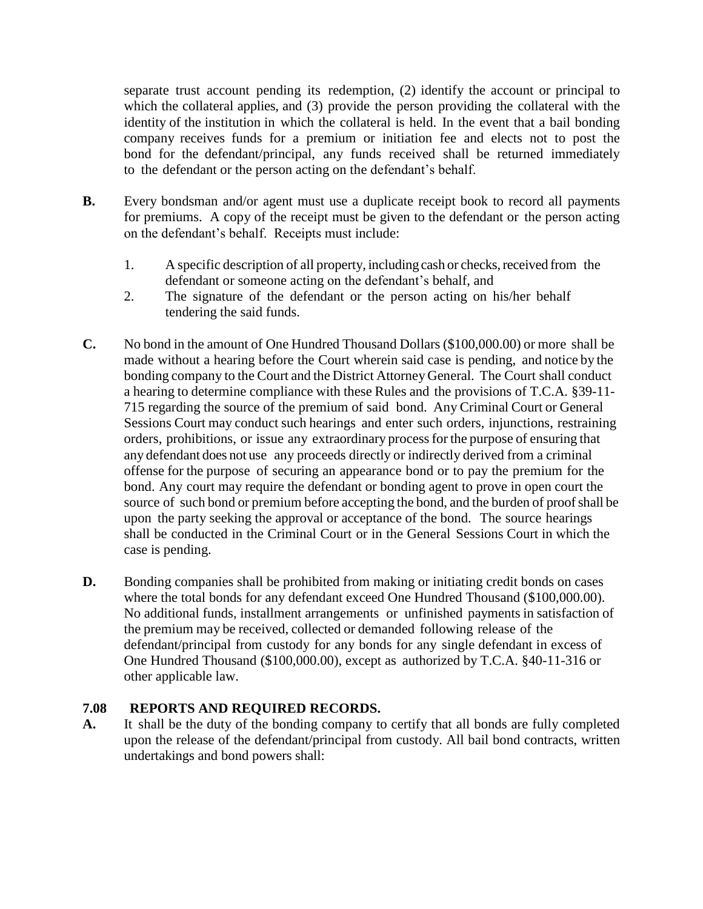separate trust account pending its redemption, (2) identify the account or principal to which the collateral applies, and (3) provide the person providing the collateral with the identity of the institution in which the collateral is held. In the event that a bail bonding company receives funds for a premium or initiation fee and elects not to post the bond for the defendant/principal, any funds received shall be returned immediately to the defendant or the person acting on the defendant's behalf.

- **B.** Every bondsman and/or agent must use a duplicate receipt book to record all payments for premiums. A copy of the receipt must be given to the defendant or the person acting on the defendant's behalf. Receipts must include:
	- 1. A specific description of all property, including cash or checks, received from the defendant or someone acting on the defendant's behalf, and
	- 2. The signature of the defendant or the person acting on his/her behalf tendering the said funds.
- **C.** No bond in the amount of One Hundred Thousand Dollars (\$100,000.00) or more shall be made without a hearing before the Court wherein said case is pending, and notice by the bonding company to the Court and the District Attorney General. The Court shall conduct a hearing to determine compliance with these Rules and the provisions of T.C.A. §39-11- 715 regarding the source of the premium of said bond. Any Criminal Court or General Sessions Court may conduct such hearings and enter such orders, injunctions, restraining orders, prohibitions, or issue any extraordinary processfor the purpose of ensuring that any defendant does not use any proceeds directly or indirectly derived from a criminal offense for the purpose of securing an appearance bond or to pay the premium for the bond. Any court may require the defendant or bonding agent to prove in open court the source of such bond or premium before accepting the bond, and the burden of proof shall be upon the party seeking the approval or acceptance of the bond. The source hearings shall be conducted in the Criminal Court or in the General Sessions Court in which the case is pending.
- **D.** Bonding companies shall be prohibited from making or initiating credit bonds on cases where the total bonds for any defendant exceed One Hundred Thousand (\$100,000.00). No additional funds, installment arrangements or unfinished payments in satisfaction of the premium may be received, collected or demanded following release of the defendant/principal from custody for any bonds for any single defendant in excess of One Hundred Thousand (\$100,000.00), except as authorized by T.C.A. §40-11-316 or other applicable law.

### **7.08 REPORTS AND REQUIRED RECORDS.**

**A.** It shall be the duty of the bonding company to certify that all bonds are fully completed upon the release of the defendant/principal from custody. All bail bond contracts, written undertakings and bond powers shall: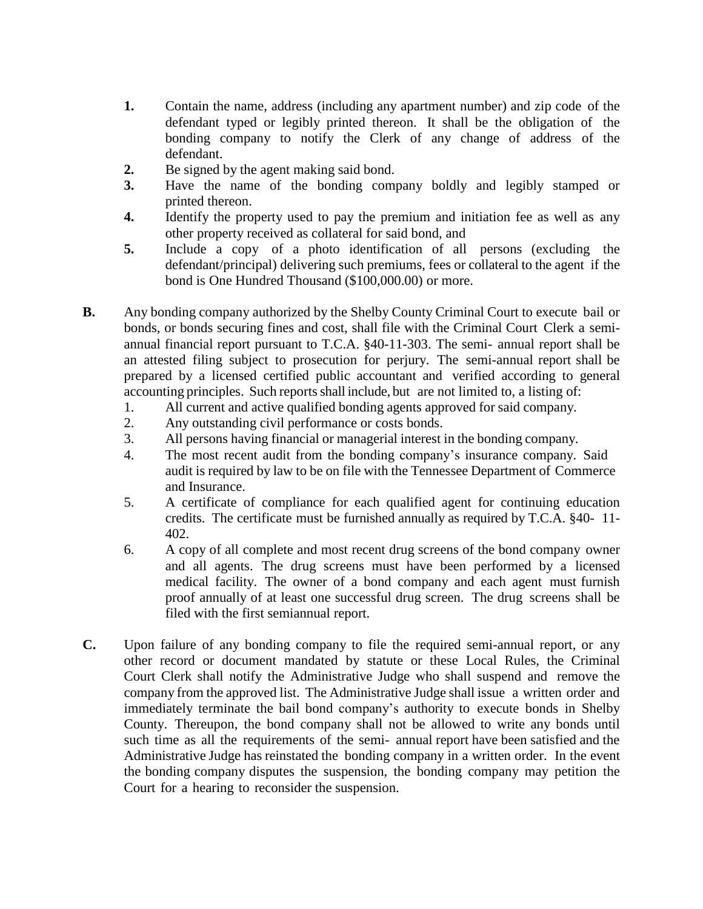- **1.** Contain the name, address (including any apartment number) and zip code of the defendant typed or legibly printed thereon. It shall be the obligation of the bonding company to notify the Clerk of any change of address of the defendant.
- **2.** Be signed by the agent making said bond.
- **3.** Have the name of the bonding company boldly and legibly stamped or printed thereon.
- **4.** Identify the property used to pay the premium and initiation fee as well as any other property received as collateral for said bond, and
- **5.** Include a copy of a photo identification of all persons (excluding the defendant/principal) delivering such premiums, fees or collateral to the agent if the bond is One Hundred Thousand (\$100,000.00) or more.
- **B.** Any bonding company authorized by the Shelby County Criminal Court to execute bail or bonds, or bonds securing fines and cost, shall file with the Criminal Court Clerk a semiannual financial report pursuant to T.C.A. §40-11-303. The semi- annual report shall be an attested filing subject to prosecution for perjury. The semi-annual report shall be prepared by a licensed certified public accountant and verified according to general accounting principles. Such reports shall include, but are not limited to, a listing of:
	- 1. All current and active qualified bonding agents approved for said company.
	- 2. Any outstanding civil performance or costs bonds.
	- 3. All persons having financial or managerial interest in the bonding company.
	- 4. The most recent audit from the bonding company's insurance company. Said audit is required by law to be on file with the Tennessee Department of Commerce and Insurance.
	- 5. A certificate of compliance for each qualified agent for continuing education credits. The certificate must be furnished annually as required by T.C.A. §40- 11- 402.
	- 6. A copy of all complete and most recent drug screens of the bond company owner and all agents. The drug screens must have been performed by a licensed medical facility. The owner of a bond company and each agent must furnish proof annually of at least one successful drug screen. The drug screens shall be filed with the first semiannual report.
- **C.** Upon failure of any bonding company to file the required semi-annual report, or any other record or document mandated by statute or these Local Rules, the Criminal Court Clerk shall notify the Administrative Judge who shall suspend and remove the company from the approved list. The Administrative Judge shall issue a written order and immediately terminate the bail bond company's authority to execute bonds in Shelby County. Thereupon, the bond company shall not be allowed to write any bonds until such time as all the requirements of the semi- annual report have been satisfied and the Administrative Judge has reinstated the bonding company in a written order. In the event the bonding company disputes the suspension, the bonding company may petition the Court for a hearing to reconsider the suspension.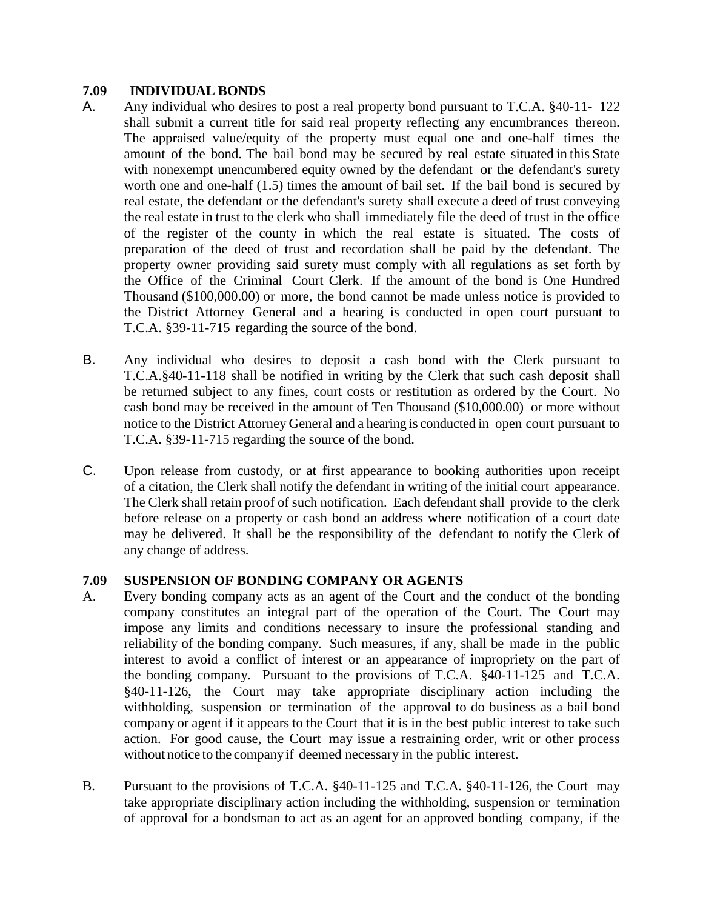#### **7.09 INDIVIDUAL BONDS**

- A. Any individual who desires to post a real property bond pursuant to T.C.A. §40-11- 122 shall submit a current title for said real property reflecting any encumbrances thereon. The appraised value/equity of the property must equal one and one-half times the amount of the bond. The bail bond may be secured by real estate situated in this State with nonexempt unencumbered equity owned by the defendant or the defendant's surety worth one and one-half (1.5) times the amount of bail set. If the bail bond is secured by real estate, the defendant or the defendant's surety shall execute a deed of trust conveying the real estate in trust to the clerk who shall immediately file the deed of trust in the office of the register of the county in which the real estate is situated. The costs of preparation of the deed of trust and recordation shall be paid by the defendant. The property owner providing said surety must comply with all regulations as set forth by the Office of the Criminal Court Clerk. If the amount of the bond is One Hundred Thousand (\$100,000.00) or more, the bond cannot be made unless notice is provided to the District Attorney General and a hearing is conducted in open court pursuant to T.C.A. §39-11-715 regarding the source of the bond.
- B. Any individual who desires to deposit a cash bond with the Clerk pursuant to T.C.A.§40-11-118 shall be notified in writing by the Clerk that such cash deposit shall be returned subject to any fines, court costs or restitution as ordered by the Court. No cash bond may be received in the amount of Ten Thousand (\$10,000.00) or more without notice to the District Attorney General and a hearing is conducted in open court pursuant to T.C.A. §39-11-715 regarding the source of the bond.
- C. Upon release from custody, or at first appearance to booking authorities upon receipt of a citation, the Clerk shall notify the defendant in writing of the initial court appearance. The Clerk shall retain proof of such notification. Each defendant shall provide to the clerk before release on a property or cash bond an address where notification of a court date may be delivered. It shall be the responsibility of the defendant to notify the Clerk of any change of address.

### **7.09 SUSPENSION OF BONDING COMPANY OR AGENTS**

- A. Every bonding company acts as an agent of the Court and the conduct of the bonding company constitutes an integral part of the operation of the Court. The Court may impose any limits and conditions necessary to insure the professional standing and reliability of the bonding company. Such measures, if any, shall be made in the public interest to avoid a conflict of interest or an appearance of impropriety on the part of the bonding company. Pursuant to the provisions of T.C.A. §40-11-125 and T.C.A. §40-11-126, the Court may take appropriate disciplinary action including the withholding, suspension or termination of the approval to do business as a bail bond company or agent if it appears to the Court that it is in the best public interest to take such action. For good cause, the Court may issue a restraining order, writ or other process without notice to the company if deemed necessary in the public interest.
- B. Pursuant to the provisions of T.C.A. §40-11-125 and T.C.A. §40-11-126, the Court may take appropriate disciplinary action including the withholding, suspension or termination of approval for a bondsman to act as an agent for an approved bonding company, if the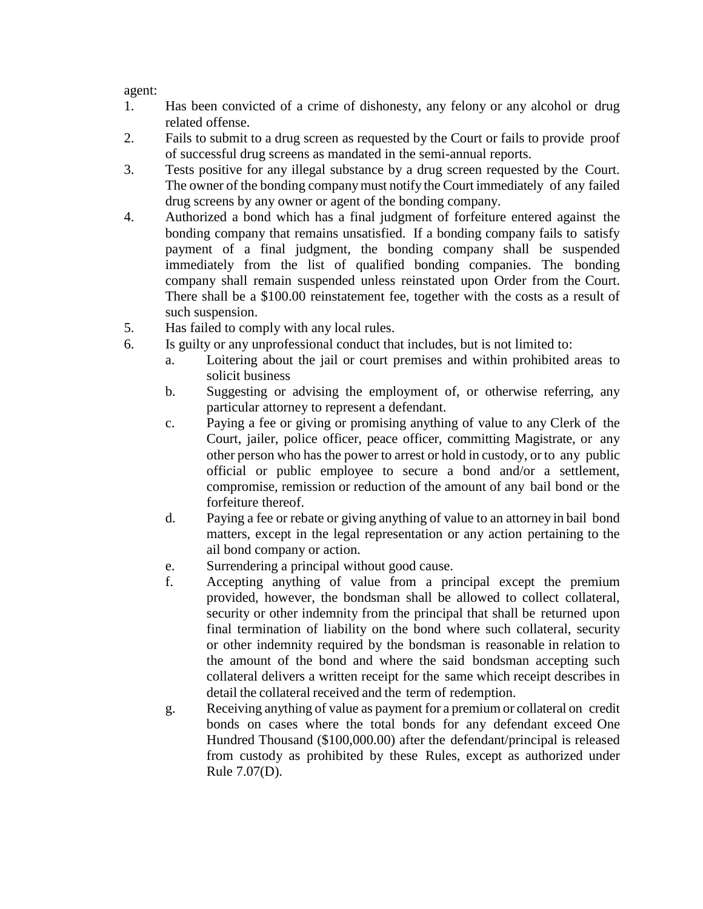agent:

- 1. Has been convicted of a crime of dishonesty, any felony or any alcohol or drug related offense.
- 2. Fails to submit to a drug screen as requested by the Court or fails to provide proof of successful drug screens as mandated in the semi-annual reports.
- 3. Tests positive for any illegal substance by a drug screen requested by the Court. The owner of the bonding companymust notify the Court immediately of any failed drug screens by any owner or agent of the bonding company.
- 4. Authorized a bond which has a final judgment of forfeiture entered against the bonding company that remains unsatisfied. If a bonding company fails to satisfy payment of a final judgment, the bonding company shall be suspended immediately from the list of qualified bonding companies. The bonding company shall remain suspended unless reinstated upon Order from the Court. There shall be a \$100.00 reinstatement fee, together with the costs as a result of such suspension.
- 5. Has failed to comply with any local rules.
- 6. Is guilty or any unprofessional conduct that includes, but is not limited to:
	- a. Loitering about the jail or court premises and within prohibited areas to solicit business
	- b. Suggesting or advising the employment of, or otherwise referring, any particular attorney to represent a defendant.
	- c. Paying a fee or giving or promising anything of value to any Clerk of the Court, jailer, police officer, peace officer, committing Magistrate, or any other person who has the power to arrest or hold in custody, or to any public official or public employee to secure a bond and/or a settlement, compromise, remission or reduction of the amount of any bail bond or the forfeiture thereof.
	- d. Paying a fee or rebate or giving anything of value to an attorney in bail bond matters, except in the legal representation or any action pertaining to the ail bond company or action.
	- e. Surrendering a principal without good cause.
	- f. Accepting anything of value from a principal except the premium provided, however, the bondsman shall be allowed to collect collateral, security or other indemnity from the principal that shall be returned upon final termination of liability on the bond where such collateral, security or other indemnity required by the bondsman is reasonable in relation to the amount of the bond and where the said bondsman accepting such collateral delivers a written receipt for the same which receipt describes in detail the collateral received and the term of redemption.
	- g. Receiving anything of value as payment for a premium or collateral on credit bonds on cases where the total bonds for any defendant exceed One Hundred Thousand (\$100,000.00) after the defendant/principal is released from custody as prohibited by these Rules, except as authorized under Rule 7.07(D).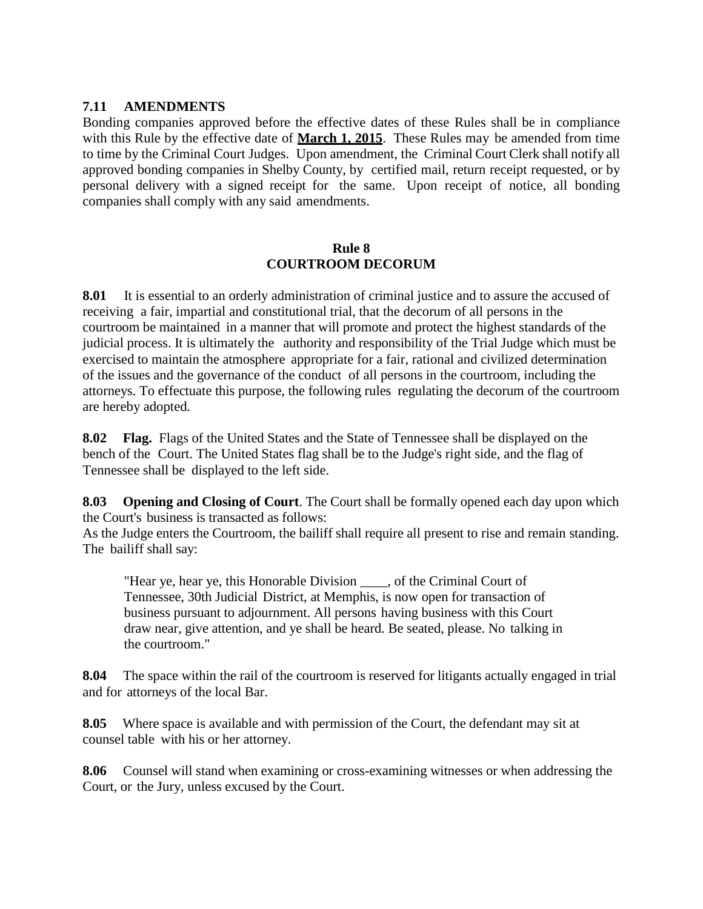#### **7.11 AMENDMENTS**

Bonding companies approved before the effective dates of these Rules shall be in compliance with this Rule by the effective date of **March 1, 2015**. These Rules may be amended from time to time by the Criminal Court Judges. Upon amendment, the Criminal Court Clerk shall notify all approved bonding companies in Shelby County, by certified mail, return receipt requested, or by personal delivery with a signed receipt for the same. Upon receipt of notice, all bonding companies shall comply with any said amendments.

#### **Rule 8 COURTROOM DECORUM**

**8.01** It is essential to an orderly administration of criminal justice and to assure the accused of receiving a fair, impartial and constitutional trial, that the decorum of all persons in the courtroom be maintained in a manner that will promote and protect the highest standards of the judicial process. It is ultimately the authority and responsibility of the Trial Judge which must be exercised to maintain the atmosphere appropriate for a fair, rational and civilized determination of the issues and the governance of the conduct of all persons in the courtroom, including the attorneys. To effectuate this purpose, the following rules regulating the decorum of the courtroom are hereby adopted.

**8.02 Flag.** Flags of the United States and the State of Tennessee shall be displayed on the bench of the Court. The United States flag shall be to the Judge's right side, and the flag of Tennessee shall be displayed to the left side.

**8.03 Opening and Closing of Court**. The Court shall be formally opened each day upon which the Court's business is transacted as follows:

As the Judge enters the Courtroom, the bailiff shall require all present to rise and remain standing. The bailiff shall say:

"Hear ye, hear ye, this Honorable Division \_\_\_\_, of the Criminal Court of Tennessee, 30th Judicial District, at Memphis, is now open for transaction of business pursuant to adjournment. All persons having business with this Court draw near, give attention, and ye shall be heard. Be seated, please. No talking in the courtroom."

**8.04** The space within the rail of the courtroom is reserved for litigants actually engaged in trial and for attorneys of the local Bar.

**8.05** Where space is available and with permission of the Court, the defendant may sit at counsel table with his or her attorney.

**8.06** Counsel will stand when examining or cross-examining witnesses or when addressing the Court, or the Jury, unless excused by the Court.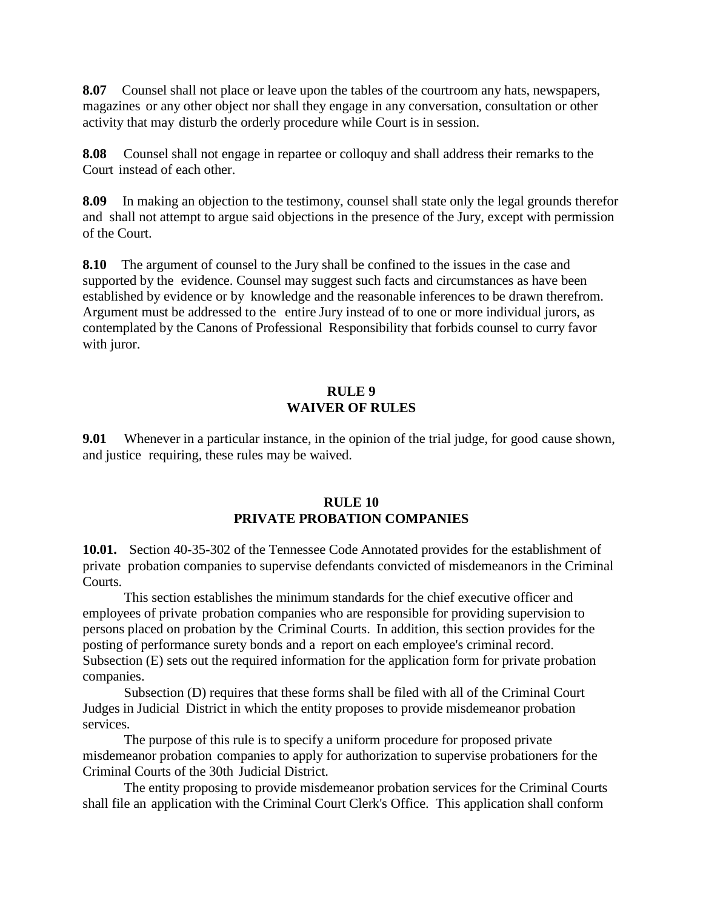**8.07** Counsel shall not place or leave upon the tables of the courtroom any hats, newspapers, magazines or any other object nor shall they engage in any conversation, consultation or other activity that may disturb the orderly procedure while Court is in session.

**8.08** Counsel shall not engage in repartee or colloquy and shall address their remarks to the Court instead of each other.

**8.09** In making an objection to the testimony, counsel shall state only the legal grounds therefor and shall not attempt to argue said objections in the presence of the Jury, except with permission of the Court.

**8.10** The argument of counsel to the Jury shall be confined to the issues in the case and supported by the evidence. Counsel may suggest such facts and circumstances as have been established by evidence or by knowledge and the reasonable inferences to be drawn therefrom. Argument must be addressed to the entire Jury instead of to one or more individual jurors, as contemplated by the Canons of Professional Responsibility that forbids counsel to curry favor with juror.

#### **RULE 9 WAIVER OF RULES**

**9.01** Whenever in a particular instance, in the opinion of the trial judge, for good cause shown, and justice requiring, these rules may be waived.

#### **RULE 10 PRIVATE PROBATION COMPANIES**

**10.01.** Section 40-35-302 of the Tennessee Code Annotated provides for the establishment of private probation companies to supervise defendants convicted of misdemeanors in the Criminal Courts.

This section establishes the minimum standards for the chief executive officer and employees of private probation companies who are responsible for providing supervision to persons placed on probation by the Criminal Courts. In addition, this section provides for the posting of performance surety bonds and a report on each employee's criminal record. Subsection (E) sets out the required information for the application form for private probation companies.

Subsection (D) requires that these forms shall be filed with all of the Criminal Court Judges in Judicial District in which the entity proposes to provide misdemeanor probation services.

The purpose of this rule is to specify a uniform procedure for proposed private misdemeanor probation companies to apply for authorization to supervise probationers for the Criminal Courts of the 30th Judicial District.

The entity proposing to provide misdemeanor probation services for the Criminal Courts shall file an application with the Criminal Court Clerk's Office. This application shall conform